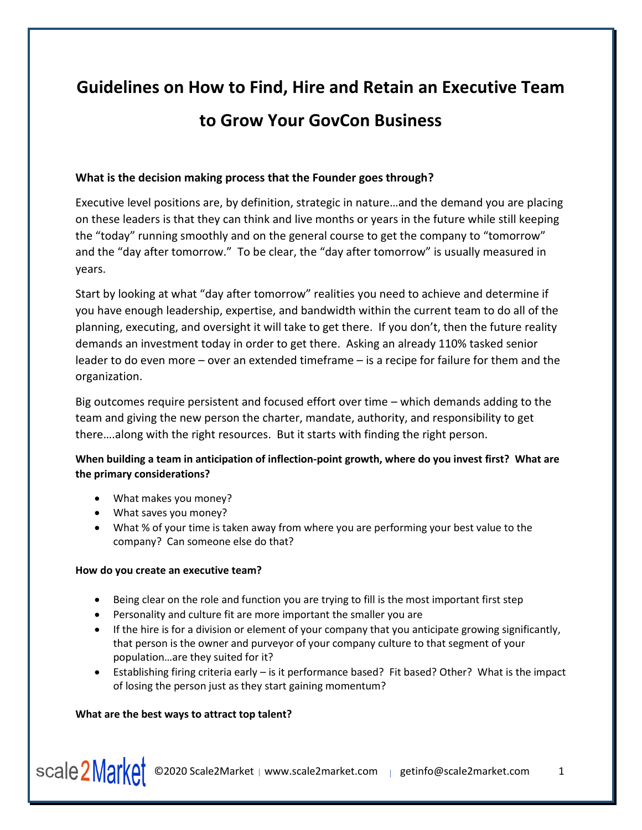# **Guidelines on How to Find, Hire and Retain an Executive Team to Grow Your GovCon Business**

## **What is the decision making process that the Founder goes through?**

Executive level positions are, by definition, strategic in nature…and the demand you are placing on these leaders is that they can think and live months or years in the future while still keeping the "today" running smoothly and on the general course to get the company to "tomorrow" and the "day after tomorrow." To be clear, the "day after tomorrow" is usually measured in years.

Start by looking at what "day after tomorrow" realities you need to achieve and determine if you have enough leadership, expertise, and bandwidth within the current team to do all of the planning, executing, and oversight it will take to get there. If you don't, then the future reality demands an investment today in order to get there. Asking an already 110% tasked senior leader to do even more – over an extended timeframe – is a recipe for failure for them and the organization.

Big outcomes require persistent and focused effort over time – which demands adding to the team and giving the new person the charter, mandate, authority, and responsibility to get there….along with the right resources. But it starts with finding the right person.

# **When building a team in anticipation of inflection-point growth, where do you invest first? What are the primary considerations?**

- What makes you money?
- What saves you money?
- What % of your time is taken away from where you are performing your best value to the company? Can someone else do that?

## **How do you create an executive team?**

- Being clear on the role and function you are trying to fill is the most important first step
- Personality and culture fit are more important the smaller you are
- If the hire is for a division or element of your company that you anticipate growing significantly, that person is the owner and purveyor of your company culture to that segment of your population…are they suited for it?
- Establishing firing criteria early is it performance based? Fit based? Other? What is the impact of losing the person just as they start gaining momentum?

## **What are the best ways to attract top talent?**

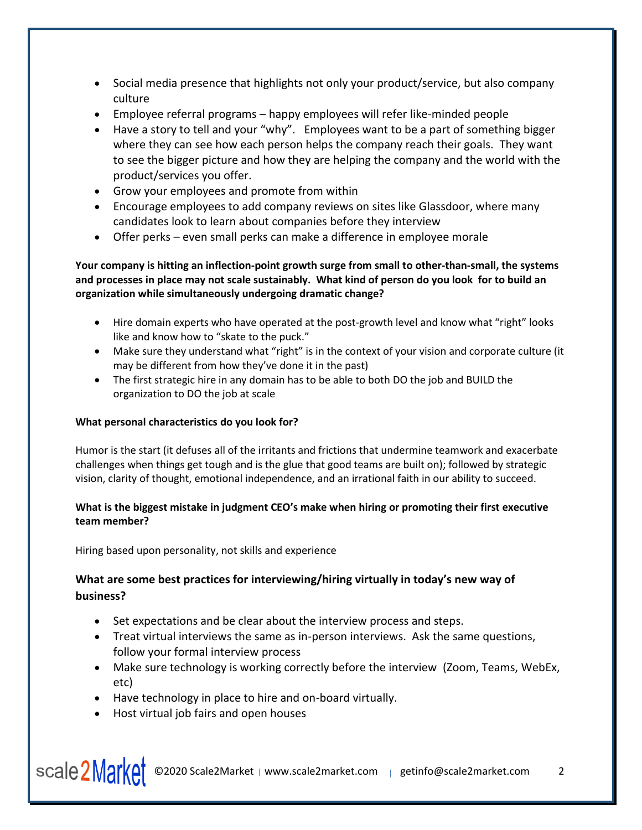- Social media presence that highlights not only your product/service, but also company culture
- Employee referral programs happy employees will refer like-minded people
- Have a story to tell and your "why". Employees want to be a part of something bigger where they can see how each person helps the company reach their goals. They want to see the bigger picture and how they are helping the company and the world with the product/services you offer.
- Grow your employees and promote from within
- Encourage employees to add company reviews on sites like Glassdoor, where many candidates look to learn about companies before they interview
- Offer perks even small perks can make a difference in employee morale

**Your company is hitting an inflection-point growth surge from small to other-than-small, the systems and processes in place may not scale sustainably. What kind of person do you look for to build an organization while simultaneously undergoing dramatic change?** 

- Hire domain experts who have operated at the post-growth level and know what "right" looks like and know how to "skate to the puck."
- Make sure they understand what "right" is in the context of your vision and corporate culture (it may be different from how they've done it in the past)
- The first strategic hire in any domain has to be able to both DO the job and BUILD the organization to DO the job at scale

# **What personal characteristics do you look for?**

Humor is the start (it defuses all of the irritants and frictions that undermine teamwork and exacerbate challenges when things get tough and is the glue that good teams are built on); followed by strategic vision, clarity of thought, emotional independence, and an irrational faith in our ability to succeed.

## **What is the biggest mistake in judgment CEO's make when hiring or promoting their first executive team member?**

Hiring based upon personality, not skills and experience

# **What are some best practices for interviewing/hiring virtually in today's new way of business?**

- Set expectations and be clear about the interview process and steps.
- Treat virtual interviews the same as in-person interviews. Ask the same questions, follow your formal interview process
- Make sure technology is working correctly before the interview (Zoom, Teams, WebEx, etc)
- Have technology in place to hire and on-board virtually.
- Host virtual job fairs and open houses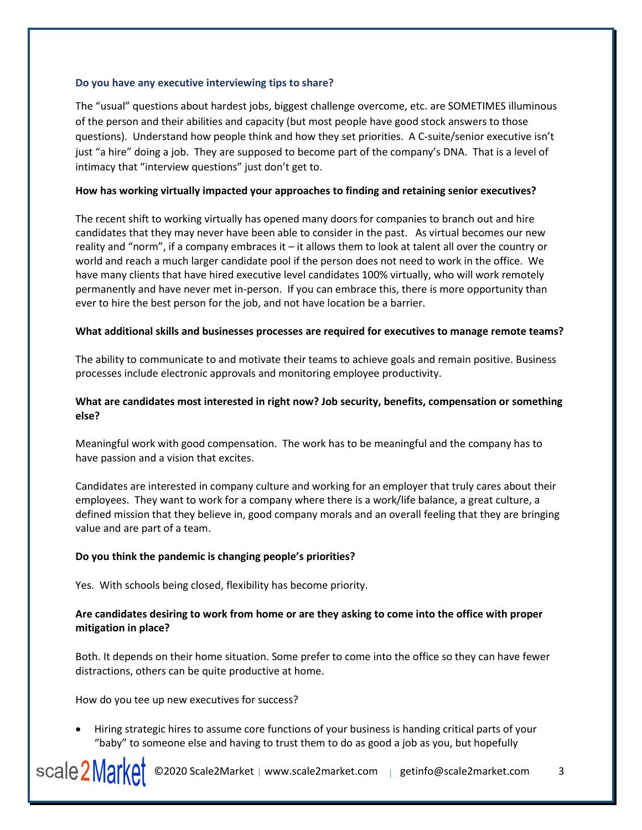#### **Do you have any executive interviewing tips to share?**

The "usual" questions about hardest jobs, biggest challenge overcome, etc. are SOMETIMES illuminous of the person and their abilities and capacity (but most people have good stock answers to those questions). Understand how people think and how they set priorities. A C-suite/senior executive isn't just "a hire" doing a job. They are supposed to become part of the company's DNA. That is a level of intimacy that "interview questions" just don't get to.

### **How has working virtually impacted your approaches to finding and retaining senior executives?**

The recent shift to working virtually has opened many doors for companies to branch out and hire candidates that they may never have been able to consider in the past. As virtual becomes our new reality and "norm", if a company embraces it – it allows them to look at talent all over the country or world and reach a much larger candidate pool if the person does not need to work in the office. We have many clients that have hired executive level candidates 100% virtually, who will work remotely permanently and have never met in-person. If you can embrace this, there is more opportunity than ever to hire the best person for the job, and not have location be a barrier.

#### **What additional skills and businesses processes are required for executives to manage remote teams?**

The ability to communicate to and motivate their teams to achieve goals and remain positive. Business processes include electronic approvals and monitoring employee productivity.

## **What are candidates most interested in right now? Job security, benefits, compensation or something else?**

Meaningful work with good compensation. The work has to be meaningful and the company has to have passion and a vision that excites.

Candidates are interested in company culture and working for an employer that truly cares about their employees. They want to work for a company where there is a work/life balance, a great culture, a defined mission that they believe in, good company morals and an overall feeling that they are bringing value and are part of a team.

## **Do you think the pandemic is changing people's priorities?**

Yes. With schools being closed, flexibility has become priority.

## **Are candidates desiring to work from home or are they asking to come into the office with proper mitigation in place?**

Both. It depends on their home situation. Some prefer to come into the office so they can have fewer distractions, others can be quite productive at home.

How do you tee up new executives for success?

• Hiring strategic hires to assume core functions of your business is handing critical parts of your "baby" to someone else and having to trust them to do as good a job as you, but hopefully